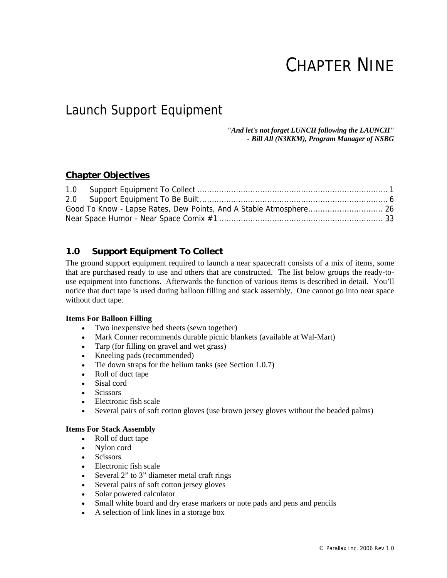# CHAPTER NINE

# Launch Support Equipment

*"And let's not forget LUNCH following the LAUNCH" - Bill All (N3KKM), Program Manager of NSBG* 

# **Chapter Objectives**

# **1.0 Support Equipment To Collect**

The ground support equipment required to launch a near spacecraft consists of a mix of items, some that are purchased ready to use and others that are constructed. The list below groups the ready-touse equipment into functions. Afterwards the function of various items is described in detail. You'll notice that duct tape is used during balloon filling and stack assembly. One cannot go into near space without duct tape.

#### **Items For Balloon Filling**

- Two inexpensive bed sheets (sewn together)
- Mark Conner recommends durable picnic blankets (available at Wal-Mart)
- Tarp (for filling on gravel and wet grass)
- Kneeling pads (recommended)
- Tie down straps for the helium tanks (see Section 1.0.7)
- Roll of duct tape
- Sisal cord
- **Scissors**
- Electronic fish scale
- Several pairs of soft cotton gloves (use brown jersey gloves without the beaded palms)

#### **Items For Stack Assembly**

- Roll of duct tape
- Nylon cord
- Scissors
- Electronic fish scale
- Several 2" to 3" diameter metal craft rings
- Several pairs of soft cotton jersey gloves
- Solar powered calculator
- Small white board and dry erase markers or note pads and pens and pencils
- A selection of link lines in a storage box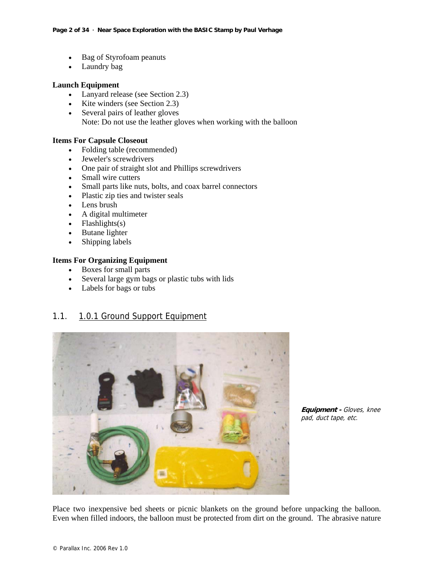- Bag of Styrofoam peanuts
- Laundry bag

#### **Launch Equipment**

- Lanyard release (see Section 2.3)
- Kite winders (see Section 2.3)
- Several pairs of leather gloves Note: Do not use the leather gloves when working with the balloon

#### **Items For Capsule Closeout**

- Folding table (recommended)
- Jeweler's screwdrivers
- One pair of straight slot and Phillips screwdrivers
- Small wire cutters
- Small parts like nuts, bolts, and coax barrel connectors
- Plastic zip ties and twister seals
- Lens brush
- A digital multimeter
- Flashlights $(s)$
- Butane lighter
- Shipping labels

#### **Items For Organizing Equipment**

- Boxes for small parts
- Several large gym bags or plastic tubs with lids
- Labels for bags or tubs

# 1.1. 1.0.1 Ground Support Equipment



**Equipment -** Gloves, knee pad, duct tape, etc.

Place two inexpensive bed sheets or picnic blankets on the ground before unpacking the balloon. Even when filled indoors, the balloon must be protected from dirt on the ground. The abrasive nature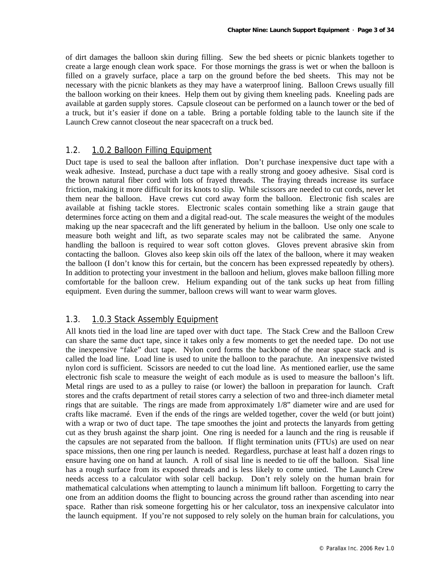of dirt damages the balloon skin during filling. Sew the bed sheets or picnic blankets together to create a large enough clean work space. For those mornings the grass is wet or when the balloon is filled on a gravely surface, place a tarp on the ground before the bed sheets. This may not be necessary with the picnic blankets as they may have a waterproof lining. Balloon Crews usually fill the balloon working on their knees. Help them out by giving them kneeling pads. Kneeling pads are available at garden supply stores. Capsule closeout can be performed on a launch tower or the bed of a truck, but it's easier if done on a table. Bring a portable folding table to the launch site if the Launch Crew cannot closeout the near spacecraft on a truck bed.

# 1.2. 1.0.2 Balloon Filling Equipment

Duct tape is used to seal the balloon after inflation. Don't purchase inexpensive duct tape with a weak adhesive. Instead, purchase a duct tape with a really strong and gooey adhesive. Sisal cord is the brown natural fiber cord with lots of frayed threads. The fraying threads increase its surface friction, making it more difficult for its knots to slip. While scissors are needed to cut cords, never let them near the balloon. Have crews cut cord away form the balloon. Electronic fish scales are available at fishing tackle stores. Electronic scales contain something like a strain gauge that determines force acting on them and a digital read-out. The scale measures the weight of the modules making up the near spacecraft and the lift generated by helium in the balloon. Use only one scale to measure both weight and lift, as two separate scales may not be calibrated the same. Anyone handling the balloon is required to wear soft cotton gloves. Gloves prevent abrasive skin from contacting the balloon. Gloves also keep skin oils off the latex of the balloon, where it may weaken the balloon (I don't know this for certain, but the concern has been expressed repeatedly by others). In addition to protecting your investment in the balloon and helium, gloves make balloon filling more comfortable for the balloon crew. Helium expanding out of the tank sucks up heat from filling equipment. Even during the summer, balloon crews will want to wear warm gloves.

#### 1.3. 1.0.3 Stack Assembly Equipment

All knots tied in the load line are taped over with duct tape. The Stack Crew and the Balloon Crew can share the same duct tape, since it takes only a few moments to get the needed tape. Do not use the inexpensive "fake" duct tape. Nylon cord forms the backbone of the near space stack and is called the load line. Load line is used to unite the balloon to the parachute. An inexpensive twisted nylon cord is sufficient. Scissors are needed to cut the load line. As mentioned earlier, use the same electronic fish scale to measure the weight of each module as is used to measure the balloon's lift. Metal rings are used to as a pulley to raise (or lower) the balloon in preparation for launch. Craft stores and the crafts department of retail stores carry a selection of two and three-inch diameter metal rings that are suitable. The rings are made from approximately 1/8" diameter wire and are used for crafts like macramé. Even if the ends of the rings are welded together, cover the weld (or butt joint) with a wrap or two of duct tape. The tape smoothes the joint and protects the lanyards from getting cut as they brush against the sharp joint. One ring is needed for a launch and the ring is reusable if the capsules are not separated from the balloon. If flight termination units (FTUs) are used on near space missions, then one ring per launch is needed. Regardless, purchase at least half a dozen rings to ensure having one on hand at launch. A roll of sisal line is needed to tie off the balloon. Sisal line has a rough surface from its exposed threads and is less likely to come untied. The Launch Crew needs access to a calculator with solar cell backup. Don't rely solely on the human brain for mathematical calculations when attempting to launch a minimum lift balloon. Forgetting to carry the one from an addition dooms the flight to bouncing across the ground rather than ascending into near space. Rather than risk someone forgetting his or her calculator, toss an inexpensive calculator into the launch equipment. If you're not supposed to rely solely on the human brain for calculations, you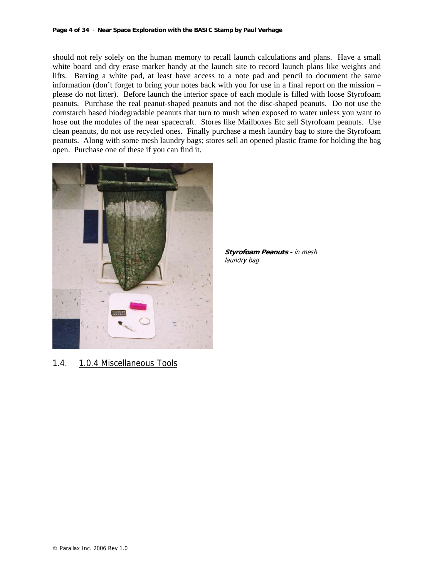should not rely solely on the human memory to recall launch calculations and plans. Have a small white board and dry erase marker handy at the launch site to record launch plans like weights and lifts. Barring a white pad, at least have access to a note pad and pencil to document the same information (don't forget to bring your notes back with you for use in a final report on the mission – please do not litter). Before launch the interior space of each module is filled with loose Styrofoam peanuts. Purchase the real peanut-shaped peanuts and not the disc-shaped peanuts. Do not use the cornstarch based biodegradable peanuts that turn to mush when exposed to water unless you want to hose out the modules of the near spacecraft. Stores like Mailboxes Etc sell Styrofoam peanuts. Use clean peanuts, do not use recycled ones. Finally purchase a mesh laundry bag to store the Styrofoam peanuts. Along with some mesh laundry bags; stores sell an opened plastic frame for holding the bag open. Purchase one of these if you can find it.



**Styrofoam Peanuts -** in mesh laundry bag

1.4. 1.0.4 Miscellaneous Tools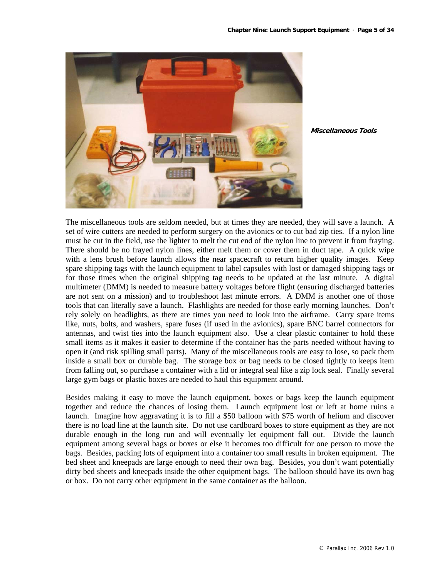

**Miscellaneous Tools**

The miscellaneous tools are seldom needed, but at times they are needed, they will save a launch. A set of wire cutters are needed to perform surgery on the avionics or to cut bad zip ties. If a nylon line must be cut in the field, use the lighter to melt the cut end of the nylon line to prevent it from fraying. There should be no frayed nylon lines, either melt them or cover them in duct tape. A quick wipe with a lens brush before launch allows the near spacecraft to return higher quality images. Keep spare shipping tags with the launch equipment to label capsules with lost or damaged shipping tags or for those times when the original shipping tag needs to be updated at the last minute. A digital multimeter (DMM) is needed to measure battery voltages before flight (ensuring discharged batteries are not sent on a mission) and to troubleshoot last minute errors. A DMM is another one of those tools that can literally save a launch. Flashlights are needed for those early morning launches. Don't rely solely on headlights, as there are times you need to look into the airframe. Carry spare items like, nuts, bolts, and washers, spare fuses (if used in the avionics), spare BNC barrel connectors for antennas, and twist ties into the launch equipment also. Use a clear plastic container to hold these small items as it makes it easier to determine if the container has the parts needed without having to open it (and risk spilling small parts). Many of the miscellaneous tools are easy to lose, so pack them inside a small box or durable bag. The storage box or bag needs to be closed tightly to keeps item from falling out, so purchase a container with a lid or integral seal like a zip lock seal. Finally several large gym bags or plastic boxes are needed to haul this equipment around.

Besides making it easy to move the launch equipment, boxes or bags keep the launch equipment together and reduce the chances of losing them. Launch equipment lost or left at home ruins a launch. Imagine how aggravating it is to fill a \$50 balloon with \$75 worth of helium and discover there is no load line at the launch site. Do not use cardboard boxes to store equipment as they are not durable enough in the long run and will eventually let equipment fall out. Divide the launch equipment among several bags or boxes or else it becomes too difficult for one person to move the bags. Besides, packing lots of equipment into a container too small results in broken equipment. The bed sheet and kneepads are large enough to need their own bag. Besides, you don't want potentially dirty bed sheets and kneepads inside the other equipment bags. The balloon should have its own bag or box. Do not carry other equipment in the same container as the balloon.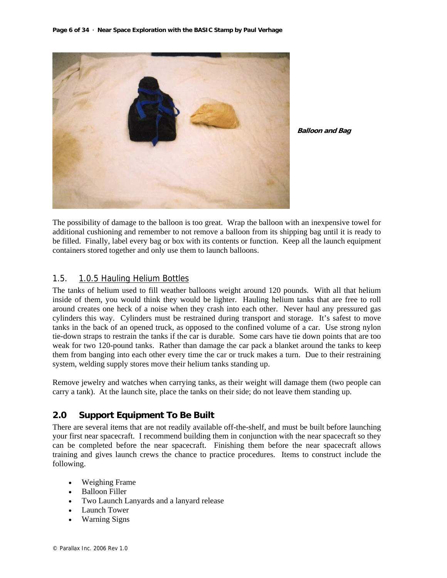

**Balloon and Bag**

The possibility of damage to the balloon is too great. Wrap the balloon with an inexpensive towel for additional cushioning and remember to not remove a balloon from its shipping bag until it is ready to be filled. Finally, label every bag or box with its contents or function. Keep all the launch equipment containers stored together and only use them to launch balloons.

# 1.5. 1.0.5 Hauling Helium Bottles

The tanks of helium used to fill weather balloons weight around 120 pounds. With all that helium inside of them, you would think they would be lighter. Hauling helium tanks that are free to roll around creates one heck of a noise when they crash into each other. Never haul any pressured gas cylinders this way. Cylinders must be restrained during transport and storage. It's safest to move tanks in the back of an opened truck, as opposed to the confined volume of a car. Use strong nylon tie-down straps to restrain the tanks if the car is durable. Some cars have tie down points that are too weak for two 120-pound tanks. Rather than damage the car pack a blanket around the tanks to keep them from banging into each other every time the car or truck makes a turn. Due to their restraining system, welding supply stores move their helium tanks standing up.

Remove jewelry and watches when carrying tanks, as their weight will damage them (two people can carry a tank). At the launch site, place the tanks on their side; do not leave them standing up.

# **2.0 Support Equipment To Be Built**

There are several items that are not readily available off-the-shelf, and must be built before launching your first near spacecraft. I recommend building them in conjunction with the near spacecraft so they can be completed before the near spacecraft. Finishing them before the near spacecraft allows training and gives launch crews the chance to practice procedures. Items to construct include the following.

- Weighing Frame
- Balloon Filler
- Two Launch Lanyards and a lanyard release
- **Launch Tower**
- Warning Signs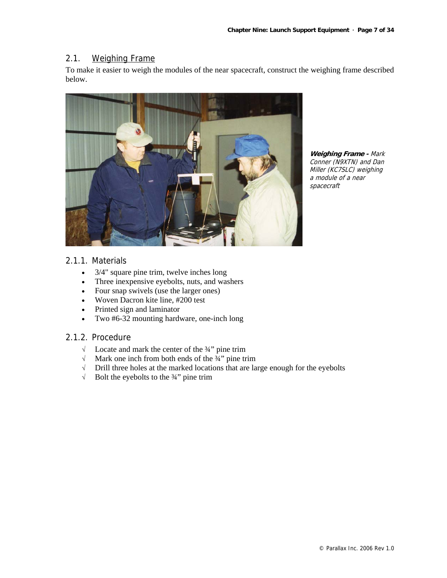#### 2.1. Weighing Frame

To make it easier to weigh the modules of the near spacecraft, construct the weighing frame described below.



**Weighing Frame -** Mark Conner (N9XTN) and Dan Miller (KC7SLC) weighing a module of a near spacecraft

# 2.1.1. Materials

- 3/4" square pine trim, twelve inches long
- Three inexpensive eyebolts, nuts, and washers
- Four snap swivels (use the larger ones)
- Woven Dacron kite line, #200 test
- Printed sign and laminator
- Two #6-32 mounting hardware, one-inch long

# 2.1.2. Procedure

- √ Locate and mark the center of the ¾" pine trim
- $\sqrt{\phantom{a}}$  Mark one inch from both ends of the  $\frac{3}{4}$ " pine trim
- √ Drill three holes at the marked locations that are large enough for the eyebolts
- $\sqrt{\phantom{a}}$  Bolt the eyebolts to the 3/4" pine trim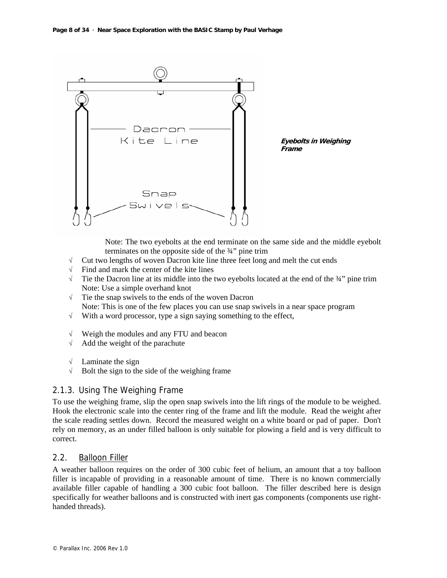

Note: The two eyebolts at the end terminate on the same side and the middle eyebolt terminates on the opposite side of the ¾" pine trim

- $\sqrt{\phantom{a}}$  Cut two lengths of woven Dacron kite line three feet long and melt the cut ends
- √ Find and mark the center of the kite lines
- $\sqrt{\phantom{a}}$  Tie the Dacron line at its middle into the two eyebolts located at the end of the  $\frac{3}{4}$  pine trim Note: Use a simple overhand knot
- √ Tie the snap swivels to the ends of the woven Dacron Note: This is one of the few places you can use snap swivels in a near space program
- $\sqrt{\phantom{a}}$  With a word processor, type a sign saying something to the effect,
- √ Weigh the modules and any FTU and beacon
- √ Add the weight of the parachute
- √ Laminate the sign
- $\sqrt{\phantom{a}}$  Bolt the sign to the side of the weighing frame

# 2.1.3. Using The Weighing Frame

To use the weighing frame, slip the open snap swivels into the lift rings of the module to be weighed. Hook the electronic scale into the center ring of the frame and lift the module. Read the weight after the scale reading settles down. Record the measured weight on a white board or pad of paper. Don't rely on memory, as an under filled balloon is only suitable for plowing a field and is very difficult to correct.

#### 2.2. Balloon Filler

A weather balloon requires on the order of 300 cubic feet of helium, an amount that a toy balloon filler is incapable of providing in a reasonable amount of time. There is no known commercially available filler capable of handling a 300 cubic foot balloon. The filler described here is design specifically for weather balloons and is constructed with inert gas components (components use righthanded threads).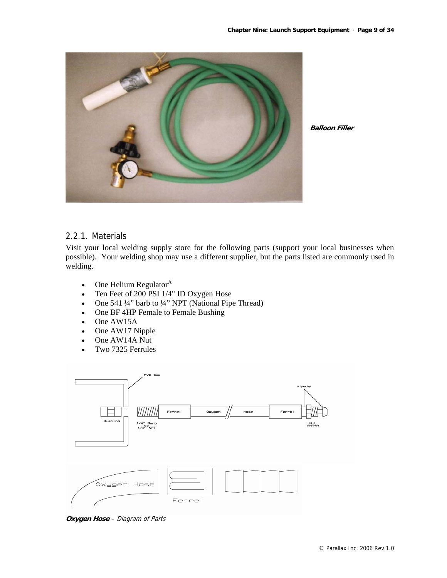

**Balloon Filler**

# 2.2.1. Materials

Visit your local welding supply store for the following parts (support your local businesses when possible). Your welding shop may use a different supplier, but the parts listed are commonly used in welding.

- One Helium Regulator $^{\mathbf{A}}$
- Ten Feet of 200 PSI 1/4" ID Oxygen Hose
- One 541 ¼" barb to ¼" NPT (National Pipe Thread)
- One BF 4HP Female to Female Bushing
- One AW15A
- One AW17 Nipple
- One AW14A Nut
- Two 7325 Ferrules



**Oxygen Hose** – Diagram of Parts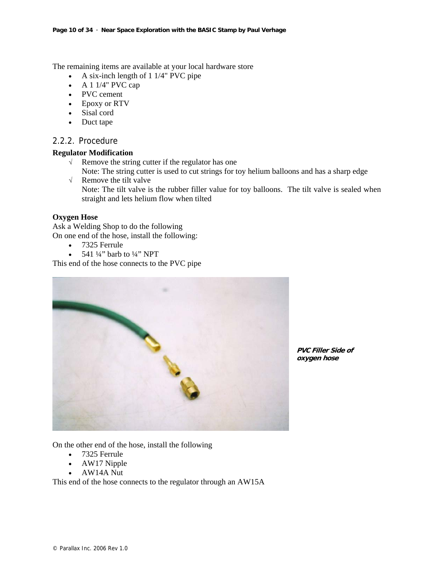The remaining items are available at your local hardware store

- A six-inch length of 1 1/4" PVC pipe
- A  $1\frac{1}{4}$ " PVC cap
- PVC cement
- Epoxy or RTV
- Sisal cord
- Duct tape

#### 2.2.2. Procedure

#### **Regulator Modification**

- √ Remove the string cutter if the regulator has one
- Note: The string cutter is used to cut strings for toy helium balloons and has a sharp edge
- √ Remove the tilt valve Note: The tilt valve is the rubber filler value for toy balloons. The tilt valve is sealed when straight and lets helium flow when tilted

#### **Oxygen Hose**

Ask a Welding Shop to do the following On one end of the hose, install the following:

- 7325 Ferrule
- 541  $\frac{1}{4}$ " barb to  $\frac{1}{4}$ " NPT

This end of the hose connects to the PVC pipe



**PVC Filler Side of oxygen hose**

On the other end of the hose, install the following

- 7325 Ferrule
- AW17 Nipple
- AW14A Nut

This end of the hose connects to the regulator through an AW15A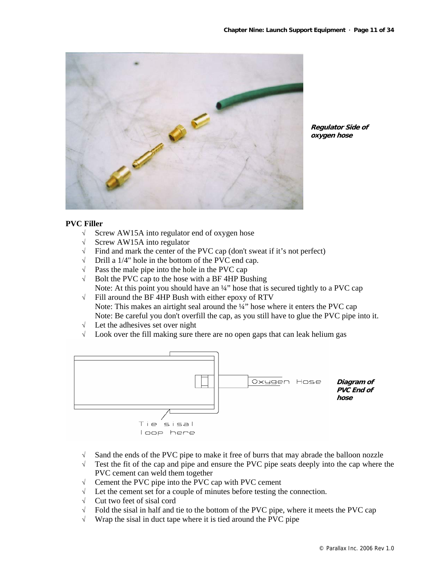

**Regulator Side of oxygen hose**

#### **PVC Filler**

- √ Screw AW15A into regulator end of oxygen hose
- √ Screw AW15A into regulator
- $\sqrt{\phantom{a}}$  Find and mark the center of the PVC cap (don't sweat if it's not perfect)
- √ Drill a 1/4" hole in the bottom of the PVC end cap.
- $\sqrt{\phantom{a}}$  Pass the male pipe into the hole in the PVC cap
- $\sqrt{\phantom{a}}$  Bolt the PVC cap to the hose with a BF 4HP Bushing Note: At this point you should have an  $\frac{1}{4}$  hose that is secured tightly to a PVC cap
- √ Fill around the BF 4HP Bush with either epoxy of RTV Note: This makes an airtight seal around the  $\frac{1}{4}$ " hose where it enters the PVC cap Note: Be careful you don't overfill the cap, as you still have to glue the PVC pipe into it.
- √ Let the adhesives set over night
- √ Look over the fill making sure there are no open gaps that can leak helium gas



- √ Sand the ends of the PVC pipe to make it free of burrs that may abrade the balloon nozzle
- √ Test the fit of the cap and pipe and ensure the PVC pipe seats deeply into the cap where the PVC cement can weld them together
- √ Cement the PVC pipe into the PVC cap with PVC cement
- √ Let the cement set for a couple of minutes before testing the connection.
- √ Cut two feet of sisal cord
- $\sqrt{\phantom{a}}$  Fold the sisal in half and tie to the bottom of the PVC pipe, where it meets the PVC cap
- $\sqrt{\phantom{a}}$  Wrap the sisal in duct tape where it is tied around the PVC pipe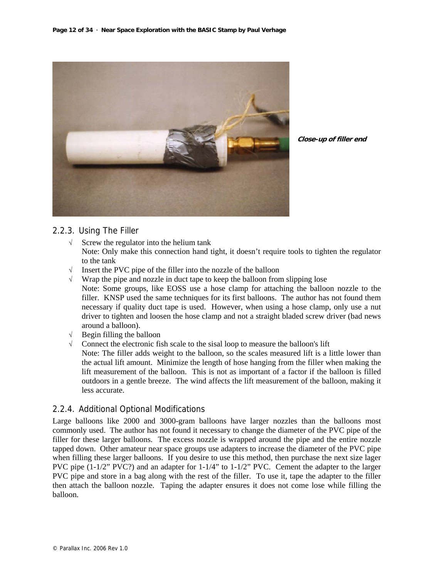

**Close-up of filler end**

# 2.2.3. Using The Filler

- $\sqrt{\phantom{a}}$  Screw the regulator into the helium tank Note: Only make this connection hand tight, it doesn't require tools to tighten the regulator to the tank
- √ Insert the PVC pipe of the filler into the nozzle of the balloon
- $\sqrt{\phantom{a}}$  Wrap the pipe and nozzle in duct tape to keep the balloon from slipping lose Note: Some groups, like EOSS use a hose clamp for attaching the balloon nozzle to the filler. KNSP used the same techniques for its first balloons. The author has not found them necessary if quality duct tape is used. However, when using a hose clamp, only use a nut driver to tighten and loosen the hose clamp and not a straight bladed screw driver (bad news around a balloon).
- $\sqrt{\phantom{a}}$  Begin filling the balloon
- √ Connect the electronic fish scale to the sisal loop to measure the balloon's lift Note: The filler adds weight to the balloon, so the scales measured lift is a little lower than the actual lift amount. Minimize the length of hose hanging from the filler when making the lift measurement of the balloon. This is not as important of a factor if the balloon is filled outdoors in a gentle breeze. The wind affects the lift measurement of the balloon, making it less accurate.

# 2.2.4. Additional Optional Modifications

Large balloons like 2000 and 3000-gram balloons have larger nozzles than the balloons most commonly used. The author has not found it necessary to change the diameter of the PVC pipe of the filler for these larger balloons. The excess nozzle is wrapped around the pipe and the entire nozzle tapped down. Other amateur near space groups use adapters to increase the diameter of the PVC pipe when filling these larger balloons. If you desire to use this method, then purchase the next size lager PVC pipe (1-1/2" PVC?) and an adapter for 1-1/4" to 1-1/2" PVC. Cement the adapter to the larger PVC pipe and store in a bag along with the rest of the filler. To use it, tape the adapter to the filler then attach the balloon nozzle. Taping the adapter ensures it does not come lose while filling the balloon.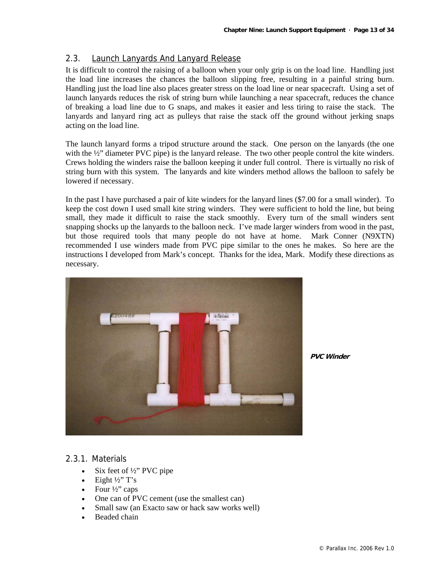# 2.3. Launch Lanyards And Lanyard Release

It is difficult to control the raising of a balloon when your only grip is on the load line. Handling just the load line increases the chances the balloon slipping free, resulting in a painful string burn. Handling just the load line also places greater stress on the load line or near spacecraft. Using a set of launch lanyards reduces the risk of string burn while launching a near spacecraft, reduces the chance of breaking a load line due to G snaps, and makes it easier and less tiring to raise the stack. The lanyards and lanyard ring act as pulleys that raise the stack off the ground without jerking snaps acting on the load line.

The launch lanyard forms a tripod structure around the stack. One person on the lanyards (the one with the  $\frac{1}{2}$ " diameter PVC pipe) is the lanyard release. The two other people control the kite winders. Crews holding the winders raise the balloon keeping it under full control. There is virtually no risk of string burn with this system. The lanyards and kite winders method allows the balloon to safely be lowered if necessary.

In the past I have purchased a pair of kite winders for the lanyard lines (\$7.00 for a small winder). To keep the cost down I used small kite string winders. They were sufficient to hold the line, but being small, they made it difficult to raise the stack smoothly. Every turn of the small winders sent snapping shocks up the lanyards to the balloon neck. I've made larger winders from wood in the past, but those required tools that many people do not have at home. Mark Conner (N9XTN) recommended I use winders made from PVC pipe similar to the ones he makes. So here are the instructions I developed from Mark's concept. Thanks for the idea, Mark. Modify these directions as necessary.



**PVC Winder**

#### 2.3.1. Materials

- Six feet of 1/2" PVC pipe
- Eight  $\frac{1}{2}$ " T's
- Four ½" caps
- One can of PVC cement (use the smallest can)
- Small saw (an Exacto saw or hack saw works well)
- Beaded chain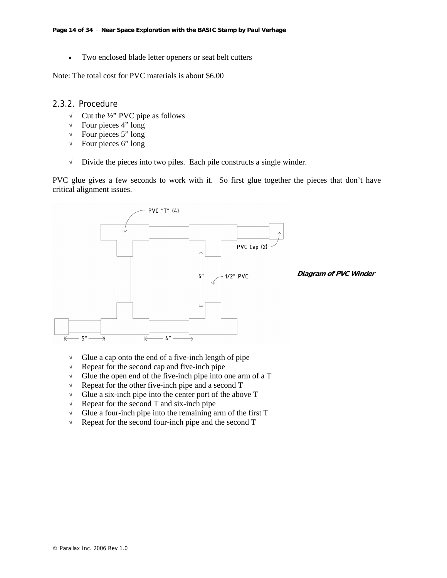• Two enclosed blade letter openers or seat belt cutters

Note: The total cost for PVC materials is about \$6.00

#### 2.3.2. Procedure

- √ Cut the ½" PVC pipe as follows
- $\sqrt{\phantom{a}}$  Four pieces 4" long
- $\sqrt{\phantom{a}}$  Four pieces 5" long
- $\sqrt{\phantom{a}}$  Four pieces 6" long
- √ Divide the pieces into two piles. Each pile constructs a single winder.

PVC glue gives a few seconds to work with it. So first glue together the pieces that don't have critical alignment issues.



- √ Glue a cap onto the end of a five-inch length of pipe
- √ Repeat for the second cap and five-inch pipe
- $\sqrt{\phantom{a}}$  Glue the open end of the five-inch pipe into one arm of a T
- √ Repeat for the other five-inch pipe and a second T
- √ Glue a six-inch pipe into the center port of the above T
- $\sqrt{\phantom{a}}$  Repeat for the second T and six-inch pipe
- $\sqrt{\phantom{a}}$  Glue a four-inch pipe into the remaining arm of the first T
- $\sqrt{\phantom{a}}$  Repeat for the second four-inch pipe and the second T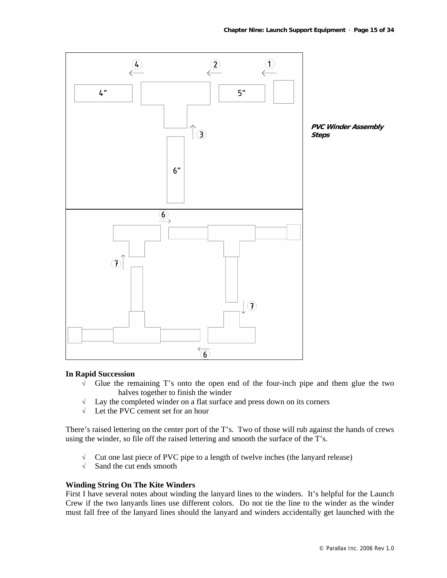

#### **In Rapid Succession**

- √ Glue the remaining T's onto the open end of the four-inch pipe and them glue the two halves together to finish the winder
- $\sqrt{\phantom{a}}$  Lay the completed winder on a flat surface and press down on its corners
- √ Let the PVC cement set for an hour

There's raised lettering on the center port of the T's. Two of those will rub against the hands of crews using the winder, so file off the raised lettering and smooth the surface of the T's.

- √ Cut one last piece of PVC pipe to a length of twelve inches (the lanyard release)
- √ Sand the cut ends smooth

#### **Winding String On The Kite Winders**

First I have several notes about winding the lanyard lines to the winders. It's helpful for the Launch Crew if the two lanyards lines use different colors. Do not tie the line to the winder as the winder must fall free of the lanyard lines should the lanyard and winders accidentally get launched with the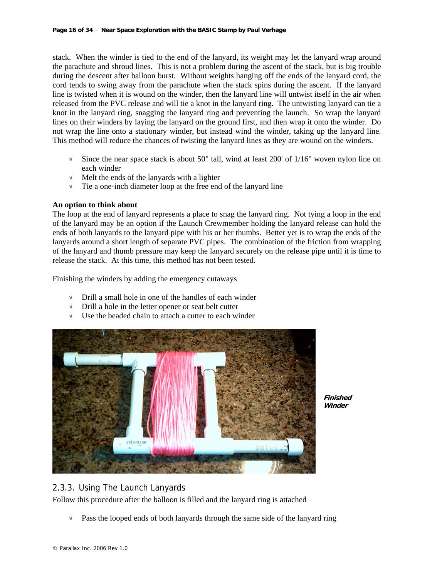stack. When the winder is tied to the end of the lanyard, its weight may let the lanyard wrap around the parachute and shroud lines. This is not a problem during the ascent of the stack, but is big trouble during the descent after balloon burst. Without weights hanging off the ends of the lanyard cord, the cord tends to swing away from the parachute when the stack spins during the ascent. If the lanyard line is twisted when it is wound on the winder, then the lanyard line will untwist itself in the air when released from the PVC release and will tie a knot in the lanyard ring. The untwisting lanyard can tie a knot in the lanyard ring, snagging the lanyard ring and preventing the launch. So wrap the lanyard lines on their winders by laying the lanyard on the ground first, and then wrap it onto the winder. Do not wrap the line onto a stationary winder, but instead wind the winder, taking up the lanyard line. This method will reduce the chances of twisting the lanyard lines as they are wound on the winders.

- √ Since the near space stack is about 50" tall, wind at least 200' of 1/16" woven nylon line on each winder
- √ Melt the ends of the lanyards with a lighter
- $\sqrt{\phantom{a}}$  Tie a one-inch diameter loop at the free end of the lanyard line

#### **An option to think about**

The loop at the end of lanyard represents a place to snag the lanyard ring. Not tying a loop in the end of the lanyard may be an option if the Launch Crewmember holding the lanyard release can hold the ends of both lanyards to the lanyard pipe with his or her thumbs. Better yet is to wrap the ends of the lanyards around a short length of separate PVC pipes. The combination of the friction from wrapping of the lanyard and thumb pressure may keep the lanyard securely on the release pipe until it is time to release the stack. At this time, this method has not been tested.

Finishing the winders by adding the emergency cutaways

- √ Drill a small hole in one of the handles of each winder
- √ Drill a hole in the letter opener or seat belt cutter
- √ Use the beaded chain to attach a cutter to each winder



**Finished Winder**

# 2.3.3. Using The Launch Lanyards

Follow this procedure after the balloon is filled and the lanyard ring is attached

√ Pass the looped ends of both lanyards through the same side of the lanyard ring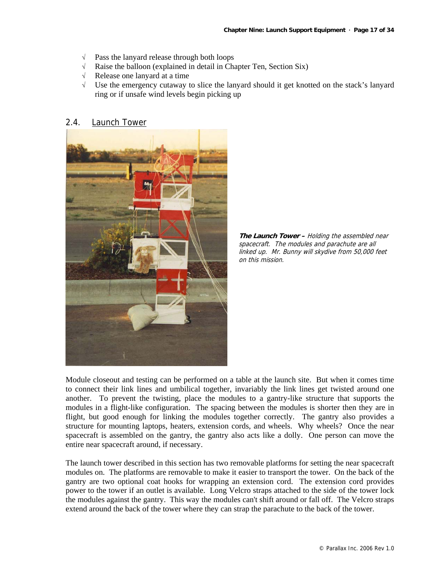- $\sqrt{\phantom{a}}$  Pass the lanyard release through both loops  $\sqrt{\phantom{a}}$  Raise the balloon (explained in detail in Cha
- Raise the balloon (explained in detail in Chapter Ten, Section Six)
- √ Release one lanyard at a time
- √ Use the emergency cutaway to slice the lanyard should it get knotted on the stack's lanyard ring or if unsafe wind levels begin picking up

# 2.4. Launch Tower



**The Launch Tower –** Holding the assembled near spacecraft. The modules and parachute are all linked up. Mr. Bunny will skydive from 50,000 feet on this mission.

Module closeout and testing can be performed on a table at the launch site. But when it comes time to connect their link lines and umbilical together, invariably the link lines get twisted around one another. To prevent the twisting, place the modules to a gantry-like structure that supports the modules in a flight-like configuration. The spacing between the modules is shorter then they are in flight, but good enough for linking the modules together correctly. The gantry also provides a structure for mounting laptops, heaters, extension cords, and wheels. Why wheels? Once the near spacecraft is assembled on the gantry, the gantry also acts like a dolly. One person can move the entire near spacecraft around, if necessary.

The launch tower described in this section has two removable platforms for setting the near spacecraft modules on. The platforms are removable to make it easier to transport the tower. On the back of the gantry are two optional coat hooks for wrapping an extension cord. The extension cord provides power to the tower if an outlet is available. Long Velcro straps attached to the side of the tower lock the modules against the gantry. This way the modules can't shift around or fall off. The Velcro straps extend around the back of the tower where they can strap the parachute to the back of the tower.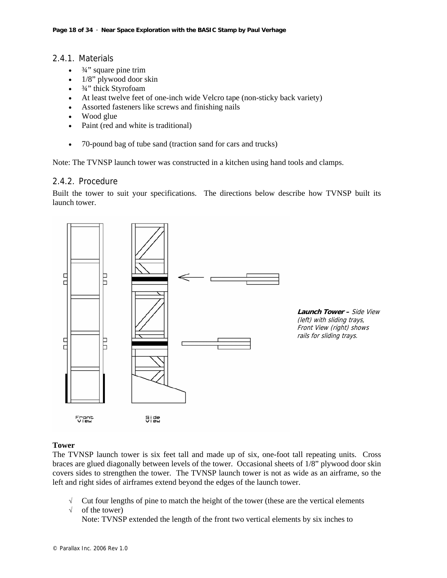# 2.4.1. Materials

- $\bullet$   $\frac{3}{4}$ " square pine trim
- 1/8" plywood door skin
- <sup>3/4"</sup> thick Styrofoam
- At least twelve feet of one-inch wide Velcro tape (non-sticky back variety)
- Assorted fasteners like screws and finishing nails
- Wood glue
- Paint (red and white is traditional)
- 70-pound bag of tube sand (traction sand for cars and trucks)

Note: The TVNSP launch tower was constructed in a kitchen using hand tools and clamps.

# 2.4.2. Procedure

Built the tower to suit your specifications. The directions below describe how TVNSP built its launch tower.



#### **Tower**

The TVNSP launch tower is six feet tall and made up of six, one-foot tall repeating units. Cross braces are glued diagonally between levels of the tower. Occasional sheets of 1/8" plywood door skin covers sides to strengthen the tower. The TVNSP launch tower is not as wide as an airframe, so the left and right sides of airframes extend beyond the edges of the launch tower.

- $\sqrt{\phantom{a}}$  Cut four lengths of pine to match the height of the tower (these are the vertical elements
- √ of the tower)

Note: TVNSP extended the length of the front two vertical elements by six inches to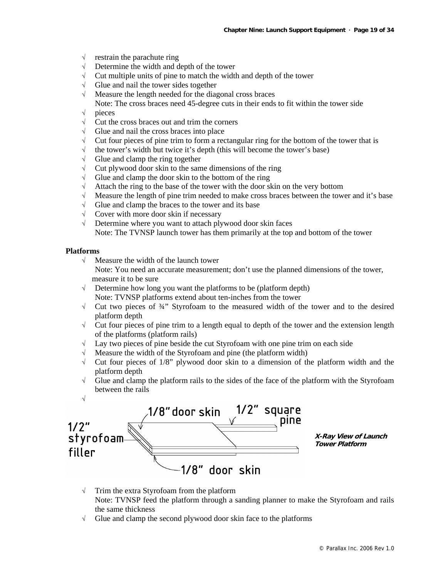- $\sqrt{\phantom{a}}$  restrain the parachute ring
- √ Determine the width and depth of the tower
- $\sqrt{\phantom{a}}$  Cut multiple units of pine to match the width and depth of the tower
- √ Glue and nail the tower sides together
- √ Measure the length needed for the diagonal cross braces
- Note: The cross braces need 45-degree cuts in their ends to fit within the tower side
- √ pieces
- $\sqrt{\phantom{a}}$  Cut the cross braces out and trim the corners
- √ Glue and nail the cross braces into place
- $\sqrt{\phantom{a}}$  Cut four pieces of pine trim to form a rectangular ring for the bottom of the tower that is
- $\sqrt{\phantom{a}}$  the tower's width but twice it's depth (this will become the tower's base)
- √ Glue and clamp the ring together
- $\sqrt{\phantom{a}}$  Cut plywood door skin to the same dimensions of the ring
- $\sqrt{\phantom{a}}$  Glue and clamp the door skin to the bottom of the ring
- $\sqrt{\phantom{a}}$  Attach the ring to the base of the tower with the door skin on the very bottom
- √ Measure the length of pine trim needed to make cross braces between the tower and it's base
- √ Glue and clamp the braces to the tower and its base
- $\sqrt{\phantom{a}}$  Cover with more door skin if necessary
- √ Determine where you want to attach plywood door skin faces Note: The TVNSP launch tower has them primarily at the top and bottom of the tower

#### **Platforms**

√ Measure the width of the launch tower

Note: You need an accurate measurement; don't use the planned dimensions of the tower, measure it to be sure

- √ Determine how long you want the platforms to be (platform depth) Note: TVNSP platforms extend about ten-inches from the tower
- √ Cut two pieces of ¾" Styrofoam to the measured width of the tower and to the desired platform depth
- √ Cut four pieces of pine trim to a length equal to depth of the tower and the extension length of the platforms (platform rails)
- √ Lay two pieces of pine beside the cut Styrofoam with one pine trim on each side
- Measure the width of the Styrofoam and pine (the platform width)
- √ Cut four pieces of 1/8" plywood door skin to a dimension of the platform width and the platform depth
- √ Glue and clamp the platform rails to the sides of the face of the platform with the Styrofoam between the rails



- √ Trim the extra Styrofoam from the platform Note: TVNSP feed the platform through a sanding planner to make the Styrofoam and rails the same thickness
- $\sqrt{\phantom{a}}$  Glue and clamp the second plywood door skin face to the platforms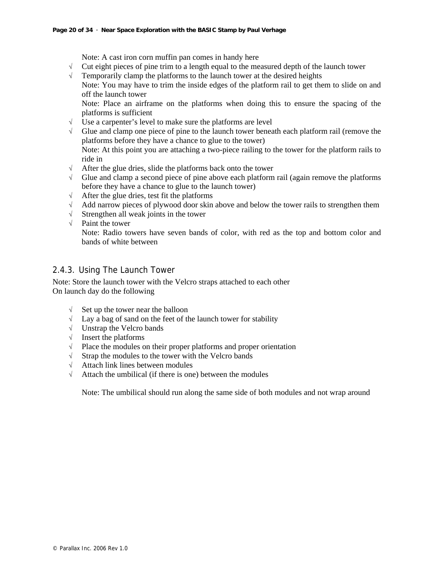Note: A cast iron corn muffin pan comes in handy here

- $\sqrt{\phantom{a}}$  Cut eight pieces of pine trim to a length equal to the measured depth of the launch tower
- $\sqrt{\phantom{a}}$  Temporarily clamp the platforms to the launch tower at the desired heights

Note: You may have to trim the inside edges of the platform rail to get them to slide on and off the launch tower

Note: Place an airframe on the platforms when doing this to ensure the spacing of the platforms is sufficient

- $\sqrt{\phantom{a}}$  Use a carpenter's level to make sure the platforms are level  $\sqrt{\phantom{a}}$  Glue and clamp one piece of pine to the launch tower benea
- √ Glue and clamp one piece of pine to the launch tower beneath each platform rail (remove the platforms before they have a chance to glue to the tower) Note: At this point you are attaching a two-piece railing to the tower for the platform rails to ride in
- √ After the glue dries, slide the platforms back onto the tower
- $\sqrt{\phantom{a}}$  Glue and clamp a second piece of pine above each platform rail (again remove the platforms before they have a chance to glue to the launch tower)
- √ After the glue dries, test fit the platforms
- √ Add narrow pieces of plywood door skin above and below the tower rails to strengthen them
- √ Strengthen all weak joints in the tower
- √ Paint the tower

Note: Radio towers have seven bands of color, with red as the top and bottom color and bands of white between

# 2.4.3. Using The Launch Tower

Note: Store the launch tower with the Velcro straps attached to each other On launch day do the following

- √ Set up the tower near the balloon
- $\sqrt{\phantom{a}}$  Lay a bag of sand on the feet of the launch tower for stability
- √ Unstrap the Velcro bands
- √ Insert the platforms
- √ Place the modules on their proper platforms and proper orientation
- √ Strap the modules to the tower with the Velcro bands
- √ Attach link lines between modules
- $\sqrt{\phantom{a}}$  Attach the umbilical (if there is one) between the modules

Note: The umbilical should run along the same side of both modules and not wrap around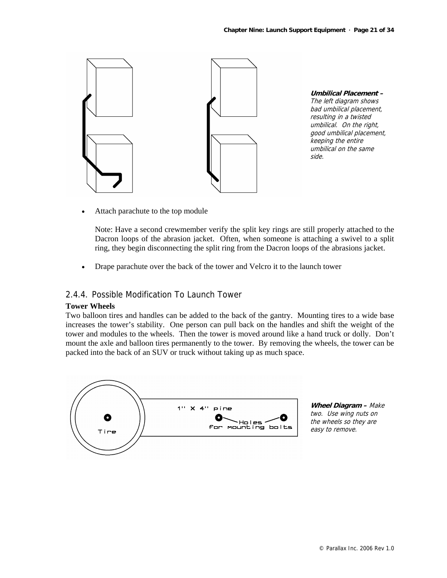

**Umbilical Placement –**  The left diagram shows bad umbilical placement, resulting in a twisted umbilical. On the right, good umbilical placement, keeping the entire umbilical on the same side.

Attach parachute to the top module

Note: Have a second crewmember verify the split key rings are still properly attached to the Dacron loops of the abrasion jacket. Often, when someone is attaching a swivel to a split ring, they begin disconnecting the split ring from the Dacron loops of the abrasions jacket.

• Drape parachute over the back of the tower and Velcro it to the launch tower

# 2.4.4. Possible Modification To Launch Tower

#### **Tower Wheels**

Two balloon tires and handles can be added to the back of the gantry. Mounting tires to a wide base increases the tower's stability. One person can pull back on the handles and shift the weight of the tower and modules to the wheels. Then the tower is moved around like a hand truck or dolly. Don't mount the axle and balloon tires permanently to the tower. By removing the wheels, the tower can be packed into the back of an SUV or truck without taking up as much space.



**Wheel Diagram –** Make two. Use wing nuts on the wheels so they are easy to remove.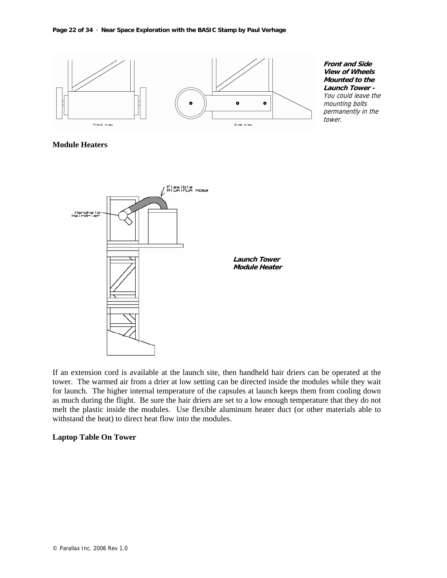

#### **Module Heaters**



If an extension cord is available at the launch site, then handheld hair driers can be operated at the tower. The warmed air from a drier at low setting can be directed inside the modules while they wait for launch. The higher internal temperature of the capsules at launch keeps them from cooling down as much during the flight. Be sure the hair driers are set to a low enough temperature that they do not melt the plastic inside the modules. Use flexible aluminum heater duct (or other materials able to withstand the heat) to direct heat flow into the modules.

#### **Laptop Table On Tower**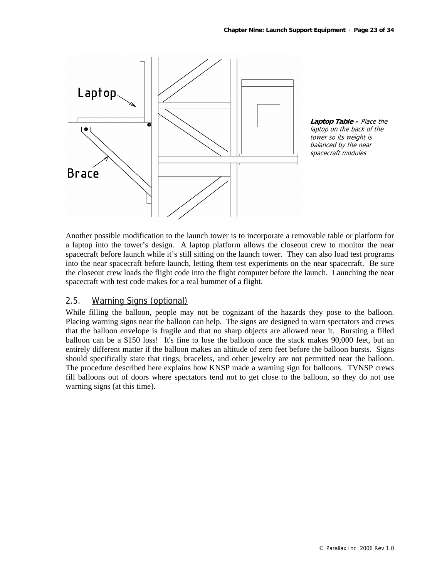

**Laptop Table –** Place the laptop on the back of the tower so its weight is balanced by the near spacecraft modules

Another possible modification to the launch tower is to incorporate a removable table or platform for a laptop into the tower's design. A laptop platform allows the closeout crew to monitor the near spacecraft before launch while it's still sitting on the launch tower. They can also load test programs into the near spacecraft before launch, letting them test experiments on the near spacecraft. Be sure the closeout crew loads the flight code into the flight computer before the launch. Launching the near spacecraft with test code makes for a real bummer of a flight.

# 2.5. Warning Signs (optional)

While filling the balloon, people may not be cognizant of the hazards they pose to the balloon. Placing warning signs near the balloon can help. The signs are designed to warn spectators and crews that the balloon envelope is fragile and that no sharp objects are allowed near it. Bursting a filled balloon can be a \$150 loss! It's fine to lose the balloon once the stack makes 90,000 feet, but an entirely different matter if the balloon makes an altitude of zero feet before the balloon bursts. Signs should specifically state that rings, bracelets, and other jewelry are not permitted near the balloon. The procedure described here explains how KNSP made a warning sign for balloons. TVNSP crews fill balloons out of doors where spectators tend not to get close to the balloon, so they do not use warning signs (at this time).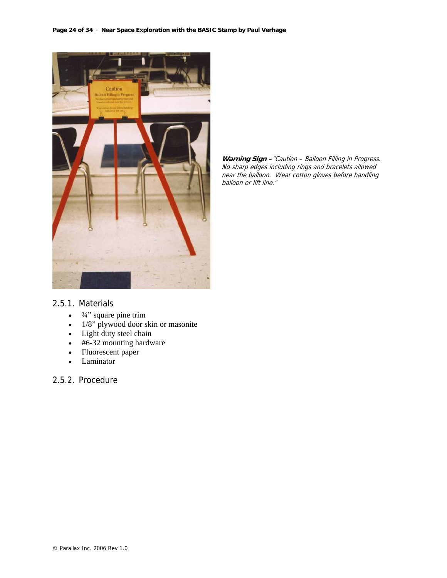

**Warning Sign –**"Caution – Balloon Filling in Progress. No sharp edges including rings and bracelets allowed near the balloon. Wear cotton gloves before handling balloon or lift line."

#### 2.5.1. Materials

- $\bullet$   $\frac{3}{4}$ " square pine trim
- 1/8" plywood door skin or masonite
- Light duty steel chain
- #6-32 mounting hardware
- Fluorescent paper
- Laminator

#### 2.5.2. Procedure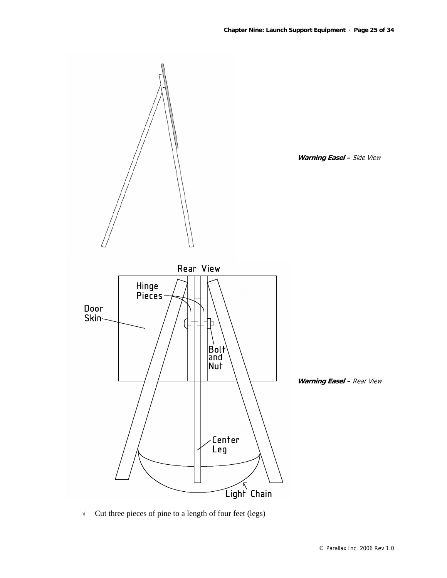

√ Cut three pieces of pine to a length of four feet (legs)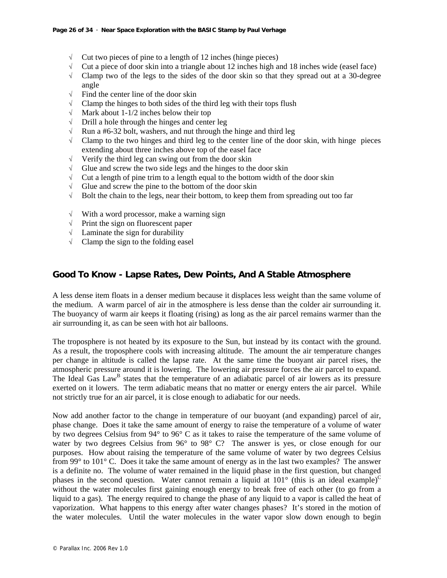- $\sqrt{\phantom{a}}$  Cut two pieces of pine to a length of 12 inches (hinge pieces)
- $\sqrt{\phantom{a}}$  Cut a piece of door skin into a triangle about 12 inches high and 18 inches wide (easel face)
- $\sqrt{\phantom{a}}$  Clamp two of the legs to the sides of the door skin so that they spread out at a 30-degree angle
- $\sqrt{\phantom{a}}$  Find the center line of the door skin
- $\sqrt{\phantom{a}}$  Clamp the hinges to both sides of the third leg with their tops flush
- $\sqrt{\phantom{a}}$  Mark about 1-1/2 inches below their top
- √ Drill a hole through the hinges and center leg
- $\sqrt{\phantom{a}}$  Run a #6-32 bolt, washers, and nut through the hinge and third leg
- $\sqrt{\phantom{a}}$  Clamp to the two hinges and third leg to the center line of the door skin, with hinge pieces extending about three inches above top of the easel face
- √ Verify the third leg can swing out from the door skin
- $\sqrt{\phantom{a}}$  Glue and screw the two side legs and the hinges to the door skin
- $\sqrt{\phantom{a}}$  Cut a length of pine trim to a length equal to the bottom width of the door skin
- √ Glue and screw the pine to the bottom of the door skin
- √ Bolt the chain to the legs, near their bottom, to keep them from spreading out too far
- $\sqrt{\phantom{a}}$  With a word processor, make a warning sign
- √ Print the sign on fluorescent paper
- √ Laminate the sign for durability
- $\sqrt{\phantom{a}}$  Clamp the sign to the folding easel

# **Good To Know - Lapse Rates, Dew Points, And A Stable Atmosphere**

A less dense item floats in a denser medium because it displaces less weight than the same volume of the medium. A warm parcel of air in the atmosphere is less dense than the colder air surrounding it. The buoyancy of warm air keeps it floating (rising) as long as the air parcel remains warmer than the air surrounding it, as can be seen with hot air balloons.

The troposphere is not heated by its exposure to the Sun, but instead by its contact with the ground. As a result, the troposphere cools with increasing altitude. The amount the air temperature changes per change in altitude is called the lapse rate. At the same time the buoyant air parcel rises, the atmospheric pressure around it is lowering. The lowering air pressure forces the air parcel to expand. The Ideal Gas Law<sup>B</sup> states that the temperature of an adiabatic parcel of air lowers as its pressure exerted on it lowers. The term adiabatic means that no matter or energy enters the air parcel. While not strictly true for an air parcel, it is close enough to adiabatic for our needs.

Now add another factor to the change in temperature of our buoyant (and expanding) parcel of air, phase change. Does it take the same amount of energy to raise the temperature of a volume of water by two degrees Celsius from 94° to 96° C as it takes to raise the temperature of the same volume of water by two degrees Celsius from 96° to 98° C? The answer is yes, or close enough for our purposes. How about raising the temperature of the same volume of water by two degrees Celsius from 99° to 101° C. Does it take the same amount of energy as in the last two examples? The answer is a definite no. The volume of water remained in the liquid phase in the first question, but changed phases in the second question. Water cannot remain a liquid at  $101^{\circ}$  (this is an ideal example)<sup>C</sup> without the water molecules first gaining enough energy to break free of each other (to go from a liquid to a gas). The energy required to change the phase of any liquid to a vapor is called the heat of vaporization. What happens to this energy after water changes phases? It's stored in the motion of the water molecules. Until the water molecules in the water vapor slow down enough to begin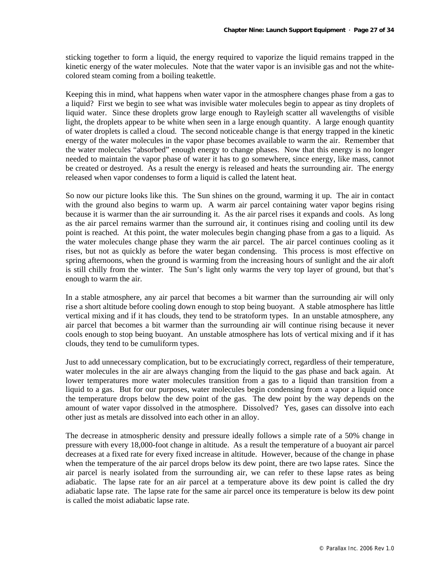sticking together to form a liquid, the energy required to vaporize the liquid remains trapped in the kinetic energy of the water molecules. Note that the water vapor is an invisible gas and not the whitecolored steam coming from a boiling teakettle.

Keeping this in mind, what happens when water vapor in the atmosphere changes phase from a gas to a liquid? First we begin to see what was invisible water molecules begin to appear as tiny droplets of liquid water. Since these droplets grow large enough to Rayleigh scatter all wavelengths of visible light, the droplets appear to be white when seen in a large enough quantity. A large enough quantity of water droplets is called a cloud. The second noticeable change is that energy trapped in the kinetic energy of the water molecules in the vapor phase becomes available to warm the air. Remember that the water molecules "absorbed" enough energy to change phases. Now that this energy is no longer needed to maintain the vapor phase of water it has to go somewhere, since energy, like mass, cannot be created or destroyed. As a result the energy is released and heats the surrounding air. The energy released when vapor condenses to form a liquid is called the latent heat.

So now our picture looks like this. The Sun shines on the ground, warming it up. The air in contact with the ground also begins to warm up. A warm air parcel containing water vapor begins rising because it is warmer than the air surrounding it. As the air parcel rises it expands and cools. As long as the air parcel remains warmer than the surround air, it continues rising and cooling until its dew point is reached. At this point, the water molecules begin changing phase from a gas to a liquid. As the water molecules change phase they warm the air parcel. The air parcel continues cooling as it rises, but not as quickly as before the water began condensing. This process is most effective on spring afternoons, when the ground is warming from the increasing hours of sunlight and the air aloft is still chilly from the winter. The Sun's light only warms the very top layer of ground, but that's enough to warm the air.

In a stable atmosphere, any air parcel that becomes a bit warmer than the surrounding air will only rise a short altitude before cooling down enough to stop being buoyant. A stable atmosphere has little vertical mixing and if it has clouds, they tend to be stratoform types. In an unstable atmosphere, any air parcel that becomes a bit warmer than the surrounding air will continue rising because it never cools enough to stop being buoyant. An unstable atmosphere has lots of vertical mixing and if it has clouds, they tend to be cumuliform types.

Just to add unnecessary complication, but to be excruciatingly correct, regardless of their temperature, water molecules in the air are always changing from the liquid to the gas phase and back again. At lower temperatures more water molecules transition from a gas to a liquid than transition from a liquid to a gas. But for our purposes, water molecules begin condensing from a vapor a liquid once the temperature drops below the dew point of the gas. The dew point by the way depends on the amount of water vapor dissolved in the atmosphere. Dissolved? Yes, gases can dissolve into each other just as metals are dissolved into each other in an alloy.

The decrease in atmospheric density and pressure ideally follows a simple rate of a 50% change in pressure with every 18,000-foot change in altitude. As a result the temperature of a buoyant air parcel decreases at a fixed rate for every fixed increase in altitude. However, because of the change in phase when the temperature of the air parcel drops below its dew point, there are two lapse rates. Since the air parcel is nearly isolated from the surrounding air, we can refer to these lapse rates as being adiabatic. The lapse rate for an air parcel at a temperature above its dew point is called the dry adiabatic lapse rate. The lapse rate for the same air parcel once its temperature is below its dew point is called the moist adiabatic lapse rate.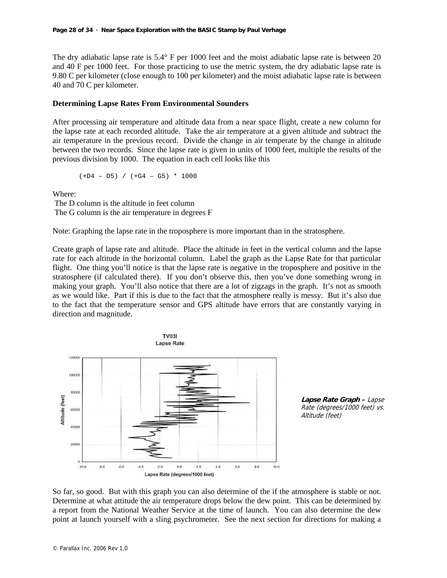The dry adiabatic lapse rate is 5.4° F per 1000 feet and the moist adiabatic lapse rate is between 20 and 40 F per 1000 feet. For those practicing to use the metric system, the dry adiabatic lapse rate is 9.80 C per kilometer (close enough to 100 per kilometer) and the moist adiabatic lapse rate is between 40 and 70 C per kilometer.

#### **Determining Lapse Rates From Environmental Sounders**

After processing air temperature and altitude data from a near space flight, create a new column for the lapse rate at each recorded altitude. Take the air temperature at a given altitude and subtract the air temperature in the previous record. Divide the change in air temperate by the change in altitude between the two records. Since the lapse rate is given in units of 1000 feet, multiple the results of the previous division by 1000. The equation in each cell looks like this

$$
(+D4 - D5) / (+G4 - G5) * 1000
$$

Where:

 The D column is the altitude in feet column The G column is the air temperature in degrees F

Note: Graphing the lapse rate in the troposphere is more important than in the stratosphere.

Create graph of lapse rate and altitude. Place the altitude in feet in the vertical column and the lapse rate for each altitude in the horizontal column. Label the graph as the Lapse Rate for that particular flight. One thing you'll notice is that the lapse rate is negative in the troposphere and positive in the stratosphere (if calculated there). If you don't observe this, then you've done something wrong in making your graph. You'll also notice that there are a lot of zigzags in the graph. It's not as smooth as we would like. Part if this is due to the fact that the atmosphere really is messy. But it's also due to the fact that the temperature sensor and GPS altitude have errors that are constantly varying in direction and magnitude.



So far, so good. But with this graph you can also determine of the if the atmosphere is stable or not. Determine at what attitude the air temperature drops below the dew point. This can be determined by a report from the National Weather Service at the time of launch. You can also determine the dew point at launch yourself with a sling psychrometer. See the next section for directions for making a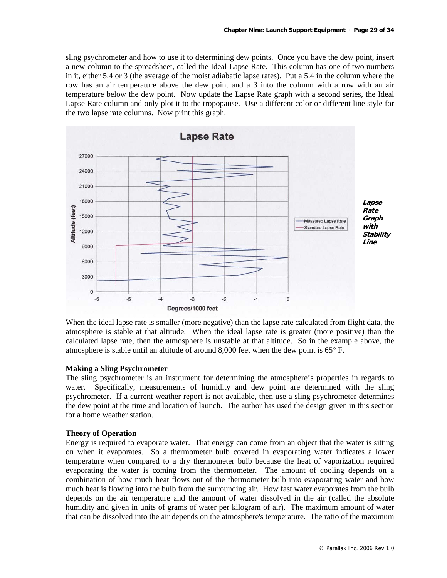sling psychrometer and how to use it to determining dew points. Once you have the dew point, insert a new column to the spreadsheet, called the Ideal Lapse Rate. This column has one of two numbers in it, either 5.4 or 3 (the average of the moist adiabatic lapse rates). Put a 5.4 in the column where the row has an air temperature above the dew point and a 3 into the column with a row with an air temperature below the dew point. Now update the Lapse Rate graph with a second series, the Ideal Lapse Rate column and only plot it to the tropopause. Use a different color or different line style for the two lapse rate columns. Now print this graph.



When the ideal lapse rate is smaller (more negative) than the lapse rate calculated from flight data, the atmosphere is stable at that altitude. When the ideal lapse rate is greater (more positive) than the calculated lapse rate, then the atmosphere is unstable at that altitude. So in the example above, the atmosphere is stable until an altitude of around 8,000 feet when the dew point is 65° F.

#### **Making a Sling Psychrometer**

The sling psychrometer is an instrument for determining the atmosphere's properties in regards to water. Specifically, measurements of humidity and dew point are determined with the sling psychrometer. If a current weather report is not available, then use a sling psychrometer determines the dew point at the time and location of launch. The author has used the design given in this section for a home weather station.

#### **Theory of Operation**

Energy is required to evaporate water. That energy can come from an object that the water is sitting on when it evaporates. So a thermometer bulb covered in evaporating water indicates a lower temperature when compared to a dry thermometer bulb because the heat of vaporization required evaporating the water is coming from the thermometer. The amount of cooling depends on a combination of how much heat flows out of the thermometer bulb into evaporating water and how much heat is flowing into the bulb from the surrounding air. How fast water evaporates from the bulb depends on the air temperature and the amount of water dissolved in the air (called the absolute humidity and given in units of grams of water per kilogram of air). The maximum amount of water that can be dissolved into the air depends on the atmosphere's temperature. The ratio of the maximum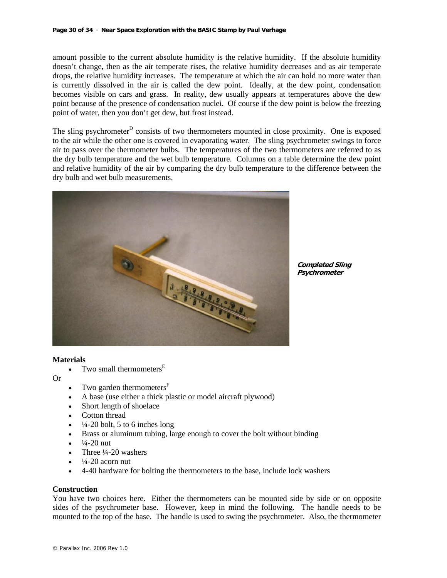amount possible to the current absolute humidity is the relative humidity. If the absolute humidity doesn't change, then as the air temperate rises, the relative humidity decreases and as air temperate drops, the relative humidity increases. The temperature at which the air can hold no more water than is currently dissolved in the air is called the dew point. Ideally, at the dew point, condensation becomes visible on cars and grass. In reality, dew usually appears at temperatures above the dew point because of the presence of condensation nuclei. Of course if the dew point is below the freezing point of water, then you don't get dew, but frost instead.

The sling psychrometer<sup>D</sup> consists of two thermometers mounted in close proximity. One is exposed to the air while the other one is covered in evaporating water. The sling psychrometer swings to force air to pass over the thermometer bulbs. The temperatures of the two thermometers are referred to as the dry bulb temperature and the wet bulb temperature. Columns on a table determine the dew point and relative humidity of the air by comparing the dry bulb temperature to the difference between the dry bulb and wet bulb measurements.



**Completed Sling Psychrometer**

#### **Materials**

Two small thermometers<sup>E</sup>

Or

- Two garden thermometers $F$
- A base (use either a thick plastic or model aircraft plywood)
- Short length of shoelace
- Cotton thread
- $\frac{1}{4}$ -20 bolt, 5 to 6 inches long
- Brass or aluminum tubing, large enough to cover the bolt without binding
- $\frac{1}{4}$ -20 nut
- Three  $\frac{1}{4}$ -20 washers
- $\frac{1}{4}$ -20 acorn nut
- 4-40 hardware for bolting the thermometers to the base, include lock washers

#### **Construction**

You have two choices here. Either the thermometers can be mounted side by side or on opposite sides of the psychrometer base. However, keep in mind the following. The handle needs to be mounted to the top of the base. The handle is used to swing the psychrometer. Also, the thermometer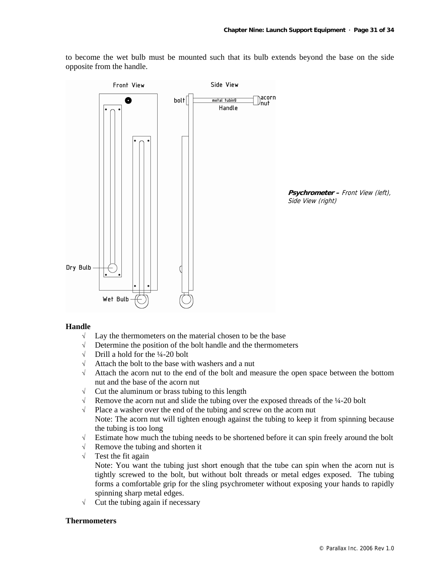to become the wet bulb must be mounted such that its bulb extends beyond the base on the side opposite from the handle.



#### **Handle**

- $\sqrt{\phantom{a}}$  Lay the thermometers on the material chosen to be the base
- $\sqrt{\frac{1}{\pi}}$  Determine the position of the bolt handle and the thermometers  $\sqrt{\frac{1}{\pi}}$  Drill a hold for the 44-20 bolt
- Drill a hold for the ¼-20 bolt
- √ Attach the bolt to the base with washers and a nut
- √ Attach the acorn nut to the end of the bolt and measure the open space between the bottom nut and the base of the acorn nut
- $\sqrt{\phantom{a}}$  Cut the aluminum or brass tubing to this length
- $\sqrt{\phantom{a}}$  Remove the acorn nut and slide the tubing over the exposed threads of the  $\frac{1}{4}$ -20 bolt
- √ Place a washer over the end of the tubing and screw on the acorn nut Note: The acorn nut will tighten enough against the tubing to keep it from spinning because the tubing is too long
- √ Estimate how much the tubing needs to be shortened before it can spin freely around the bolt
- √ Remove the tubing and shorten it
- $\sqrt{\phantom{a}}$  Test the fit again

Note: You want the tubing just short enough that the tube can spin when the acorn nut is tightly screwed to the bolt, but without bolt threads or metal edges exposed. The tubing forms a comfortable grip for the sling psychrometer without exposing your hands to rapidly spinning sharp metal edges.

√ Cut the tubing again if necessary

#### **Thermometers**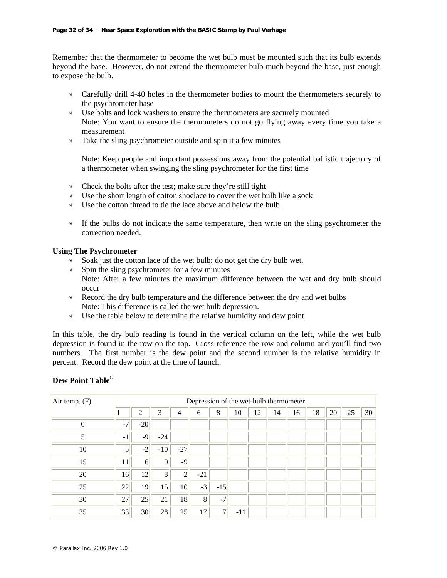Remember that the thermometer to become the wet bulb must be mounted such that its bulb extends beyond the base. However, do not extend the thermometer bulb much beyond the base, just enough to expose the bulb.

- $\sqrt{\phantom{a}}$  Carefully drill 4-40 holes in the thermometer bodies to mount the thermometers securely to the psychrometer base
- √ Use bolts and lock washers to ensure the thermometers are securely mounted Note: You want to ensure the thermometers do not go flying away every time you take a measurement
- $\sqrt{\phantom{a}}$  Take the sling psychrometer outside and spin it a few minutes

Note: Keep people and important possessions away from the potential ballistic trajectory of a thermometer when swinging the sling psychrometer for the first time

- $\sqrt{\phantom{a}}$  Check the bolts after the test; make sure they're still tight
- $\sqrt{\phantom{a}}$  Use the short length of cotton shoelace to cover the wet bulb like a sock
- √ Use the cotton thread to tie the lace above and below the bulb.
- $\sqrt{\phantom{a}}$  If the bulbs do not indicate the same temperature, then write on the sling psychrometer the correction needed.

#### **Using The Psychrometer**

- √ Soak just the cotton lace of the wet bulb; do not get the dry bulb wet.
- √ Spin the sling psychrometer for a few minutes
- Note: After a few minutes the maximum difference between the wet and dry bulb should occur
- √ Record the dry bulb temperature and the difference between the dry and wet bulbs Note: This difference is called the wet bulb depression.
- √ Use the table below to determine the relative humidity and dew point

In this table, the dry bulb reading is found in the vertical column on the left, while the wet bulb depression is found in the row on the top. Cross-reference the row and column and you'll find two numbers. The first number is the dew point and the second number is the relative humidity in percent. Record the dew point at the time of launch.

#### **Dew Point Table**<sup>G</sup>

| Air temp. $(F)$ |                | Depression of the wet-bulb thermometer |                  |                |       |       |       |    |    |    |    |    |    |    |
|-----------------|----------------|----------------------------------------|------------------|----------------|-------|-------|-------|----|----|----|----|----|----|----|
|                 |                | 2                                      | 3                | 4              | 6     | 8     | 10    | 12 | 14 | 16 | 18 | 20 | 25 | 30 |
| $\overline{0}$  | $-7'$          | $-20$                                  |                  |                |       |       |       |    |    |    |    |    |    |    |
| 5               | $-1$           | $-9$                                   | $-24$            |                |       |       |       |    |    |    |    |    |    |    |
| 10              | 5 <sup>1</sup> | $-2$                                   | $-10$            | $-27$          |       |       |       |    |    |    |    |    |    |    |
| 15              | 11             | 6                                      | $\boldsymbol{0}$ | $-9$           |       |       |       |    |    |    |    |    |    |    |
| 20              | 16             | 12                                     | 8                | $\overline{2}$ | $-21$ |       |       |    |    |    |    |    |    |    |
| 25              | 22             | 19                                     | 15               | 10             | $-3$  | $-15$ |       |    |    |    |    |    |    |    |
| 30              | 27             | 25                                     | 21               | 18             | 8     | $-7$  |       |    |    |    |    |    |    |    |
| 35              | 33             | 30                                     | 28               | 25             | 17    | 7     | $-11$ |    |    |    |    |    |    |    |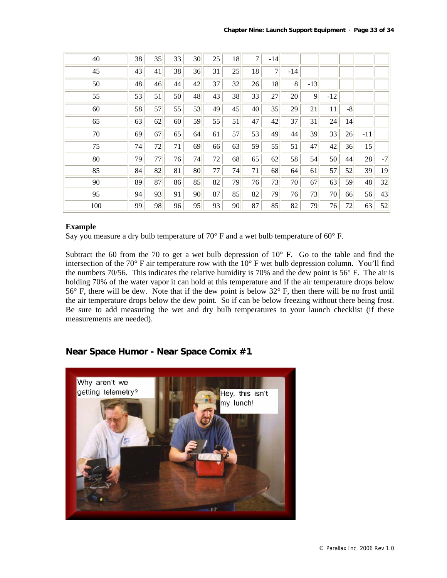| 40  | 38 | 35 | 33 | 30 <sup>°</sup> | 25 | 18 | $\overline{7}$ | $-14$          |       |       |       |      |       |      |
|-----|----|----|----|-----------------|----|----|----------------|----------------|-------|-------|-------|------|-------|------|
| 45  | 43 | 41 | 38 | 36              | 31 | 25 | 18             | $\overline{7}$ | $-14$ |       |       |      |       |      |
| 50  | 48 | 46 | 44 | 42              | 37 | 32 | 26             | 18             | 8     | $-13$ |       |      |       |      |
| 55  | 53 | 51 | 50 | 48              | 43 | 38 | 33             | 27             | 20    | 9     | $-12$ |      |       |      |
| 60  | 58 | 57 | 55 | 53              | 49 | 45 | 40             | 35             | 29    | 21    | 11    | $-8$ |       |      |
| 65  | 63 | 62 | 60 | 59              | 55 | 51 | 47             | 42             | 37    | 31    | 24    | 14   |       |      |
| 70  | 69 | 67 | 65 | 64              | 61 | 57 | 53             | 49             | 44    | 39    | 33    | 26   | $-11$ |      |
| 75  | 74 | 72 | 71 | 69              | 66 | 63 | 59             | 55             | 51    | 47    | 42    | 36   | 15    |      |
| 80  | 79 | 77 | 76 | 74              | 72 | 68 | 65             | 62             | 58    | 54    | 50    | 44   | 28    | $-7$ |
| 85  | 84 | 82 | 81 | 80              | 77 | 74 | 71             | 68             | 64    | 61    | 57    | 52   | 39    | 19   |
| 90  | 89 | 87 | 86 | 85              | 82 | 79 | 76             | 73             | 70    | 67    | 63    | 59   | 48    | 32   |
| 95  | 94 | 93 | 91 | 90              | 87 | 85 | 82             | 79             | 76    | 73    | 70    | 66   | 56    | 43   |
| 100 | 99 | 98 | 96 | 95              | 93 | 90 | 87             | 85             | 82    | 79    | 76    | 72   | 63    | 52   |

#### **Example**

Say you measure a dry bulb temperature of  $70^{\circ}$  F and a wet bulb temperature of  $60^{\circ}$  F.

Subtract the 60 from the 70 to get a wet bulb depression of  $10^{\circ}$  F. Go to the table and find the intersection of the 70° F air temperature row with the 10° F wet bulb depression column. You'll find the numbers 70/56. This indicates the relative humidity is 70% and the dew point is 56° F. The air is holding 70% of the water vapor it can hold at this temperature and if the air temperature drops below 56° F, there will be dew. Note that if the dew point is below 32° F, then there will be no frost until the air temperature drops below the dew point. So if can be below freezing without there being frost. Be sure to add measuring the wet and dry bulb temperatures to your launch checklist (if these measurements are needed).

# **Near Space Humor - Near Space Comix #1**